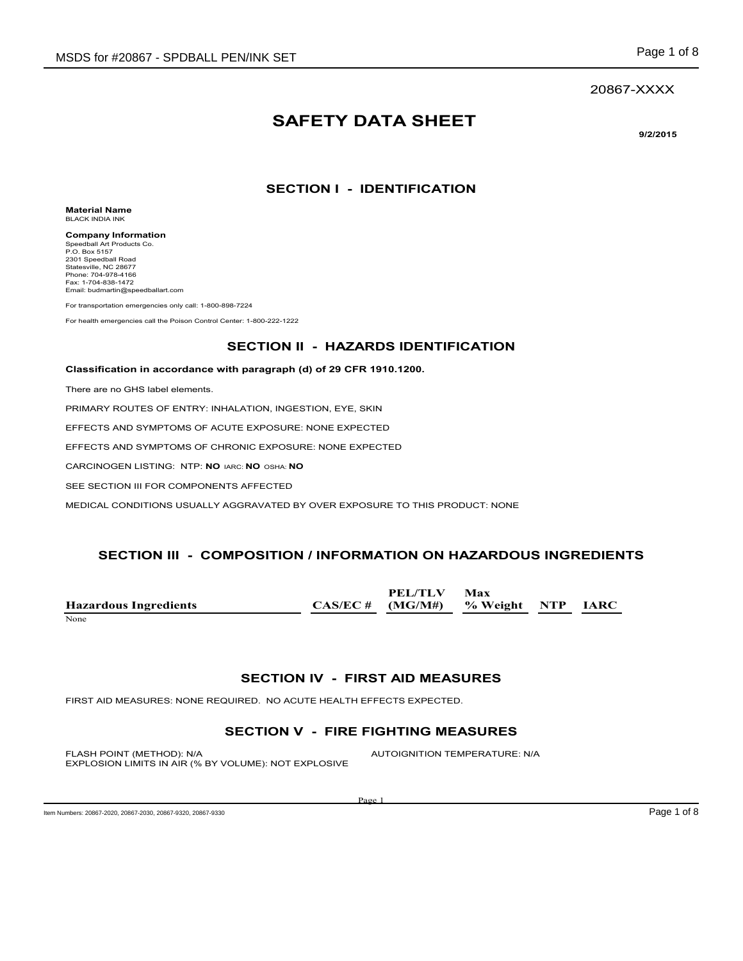### 20867-XXXX

# **SAFETY DATA SHEET**

**9/2/2015**

## **SECTION I - IDENTIFICATION**

**Material Name** BLACK INDIA INK

**Company Information** Speedball Art Products Co. P.O. Box 5157 2301 Speedball Road Statesville, NC 28677 Phone: 704-978-4166 Fax: 1-704-838-1472 Email: budmartin@speedballart.com

For transportation emergencies only call: 1-800-898-7224

For health emergencies call the Poison Control Center: 1-800-222-1222

### **SECTION II - HAZARDS IDENTIFICATION**

#### **Classification in accordance with paragraph (d) of 29 CFR 1910.1200.**

There are no GHS label elements.

PRIMARY ROUTES OF ENTRY: INHALATION, INGESTION, EYE, SKIN

EFFECTS AND SYMPTOMS OF ACUTE EXPOSURE: NONE EXPECTED

EFFECTS AND SYMPTOMS OF CHRONIC EXPOSURE: NONE EXPECTED

CARCINOGEN LISTING: NTP: **NO** IARC: **NO** OSHA: **NO**

SEE SECTION III FOR COMPONENTS AFFECTED

MEDICAL CONDITIONS USUALLY AGGRAVATED BY OVER EXPOSURE TO THIS PRODUCT: NONE

# **SECTION III - COMPOSITION / INFORMATION ON HAZARDOUS INGREDIENTS**

|                              | PEL/TLV                              | Max |  |
|------------------------------|--------------------------------------|-----|--|
| <b>Hazardous Ingredients</b> | $CAS/EC # (MG/M#)$ % Weight NTP IARC |     |  |
| None                         |                                      |     |  |

### **SECTION IV - FIRST AID MEASURES**

FIRST AID MEASURES: NONE REQUIRED. NO ACUTE HEALTH EFFECTS EXPECTED.

# **SECTION V - FIRE FIGHTING MEASURES**

FLASH POINT (METHOD): N/A  $\blacksquare$  AUTOIGNITION TEMPERATURE: N/A EXPLOSION LIMITS IN AIR (% BY VOLUME): NOT EXPLOSIVE

Item Numbers: 20867-2020, 20867-2030, 20867-9320, 20867-9330

Page 1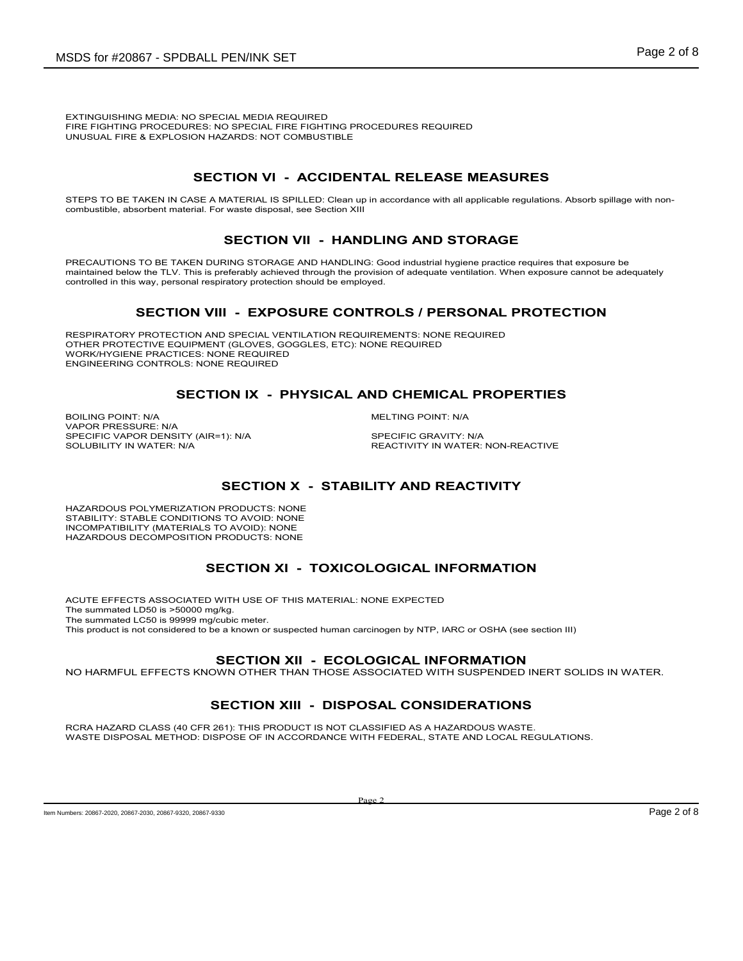EXTINGUISHING MEDIA: NO SPECIAL MEDIA REQUIRED FIRE FIGHTING PROCEDURES: NO SPECIAL FIRE FIGHTING PROCEDURES REQUIRED UNUSUAL FIRE & EXPLOSION HAZARDS: NOT COMBUSTIBLE

# **SECTION VI - ACCIDENTAL RELEASE MEASURES**

STEPS TO BE TAKEN IN CASE A MATERIAL IS SPILLED: Clean up in accordance with all applicable regulations. Absorb spillage with noncombustible, absorbent material. For waste disposal, see Section XIII

# **SECTION VII - HANDLING AND STORAGE**

PRECAUTIONS TO BE TAKEN DURING STORAGE AND HANDLING: Good industrial hygiene practice requires that exposure be maintained below the TLV. This is preferably achieved through the provision of adequate ventilation. When exposure cannot be adequately controlled in this way, personal respiratory protection should be employed.

# **SECTION VIII - EXPOSURE CONTROLS / PERSONAL PROTECTION**

RESPIRATORY PROTECTION AND SPECIAL VENTILATION REQUIREMENTS: NONE REQUIRED OTHER PROTECTIVE EQUIPMENT (GLOVES, GOGGLES, ETC): NONE REQUIRED WORK/HYGIENE PRACTICES: NONE REQUIRED ENGINEERING CONTROLS: NONE REQUIRED

# **SECTION IX - PHYSICAL AND CHEMICAL PROPERTIES**

BOILING POINT: N/A MELTING POINT: N/A VAPOR PRESSURE: N/A SPECIFIC VAPOR DENSITY (AIR=1): N/A SPECIFIC GRAVITY: N/A SOLUBILITY IN WATER: SPECIFIC GRAVITY: NVA

REACTIVITY IN WATER: NON-REACTIVE

# **SECTION X - STABILITY AND REACTIVITY**

HAZARDOUS POLYMERIZATION PRODUCTS: NONE STABILITY: STABLE CONDITIONS TO AVOID: NONE INCOMPATIBILITY (MATERIALS TO AVOID): NONE HAZARDOUS DECOMPOSITION PRODUCTS: NONE

# **SECTION XI - TOXICOLOGICAL INFORMATION**

ACUTE EFFECTS ASSOCIATED WITH USE OF THIS MATERIAL: NONE EXPECTED The summated LD50 is >50000 mg/kg. The summated LC50 is 99999 mg/cubic meter. This product is not considered to be a known or suspected human carcinogen by NTP, IARC or OSHA (see section III)

### **SECTION XII - ECOLOGICAL INFORMATION**

NO HARMFUL EFFECTS KNOWN OTHER THAN THOSE ASSOCIATED WITH SUSPENDED INERT SOLIDS IN WATER.

# **SECTION XIII - DISPOSAL CONSIDERATIONS**

RCRA HAZARD CLASS (40 CFR 261): THIS PRODUCT IS NOT CLASSIFIED AS A HAZARDOUS WASTE. WASTE DISPOSAL METHOD: DISPOSE OF IN ACCORDANCE WITH FEDERAL, STATE AND LOCAL REGULATIONS.

Item Numbers: 20867-2020, 20867-9320, 20867-9320, 20867-9330 **Page 2 of 8**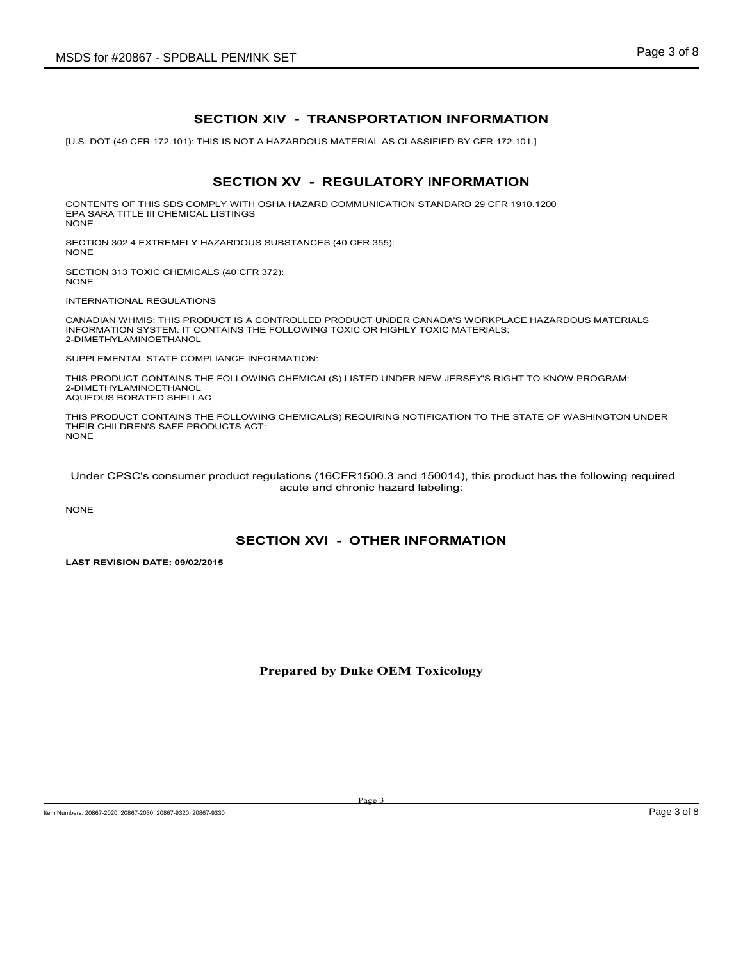# **SECTION XIV - TRANSPORTATION INFORMATION**

[U.S. DOT (49 CFR 172.101): THIS IS NOT A HAZARDOUS MATERIAL AS CLASSIFIED BY CFR 172.101.]

# **SECTION XV - REGULATORY INFORMATION**

CONTENTS OF THIS SDS COMPLY WITH OSHA HAZARD COMMUNICATION STANDARD 29 CFR 1910.1200 EPA SARA TITLE III CHEMICAL LISTINGS NONE

SECTION 302.4 EXTREMELY HAZARDOUS SUBSTANCES (40 CFR 355): NONE

SECTION 313 TOXIC CHEMICALS (40 CFR 372): NONE

INTERNATIONAL REGULATIONS

CANADIAN WHMIS: THIS PRODUCT IS A CONTROLLED PRODUCT UNDER CANADA'S WORKPLACE HAZARDOUS MATERIALS INFORMATION SYSTEM. IT CONTAINS THE FOLLOWING TOXIC OR HIGHLY TOXIC MATERIALS: 2-DIMETHYLAMINOETHANOL

SUPPLEMENTAL STATE COMPLIANCE INFORMATION:

THIS PRODUCT CONTAINS THE FOLLOWING CHEMICAL(S) LISTED UNDER NEW JERSEY'S RIGHT TO KNOW PROGRAM: 2-DIMETHYLAMINOETHANOL AQUEOUS BORATED SHELLAC

THIS PRODUCT CONTAINS THE FOLLOWING CHEMICAL(S) REQUIRING NOTIFICATION TO THE STATE OF WASHINGTON UNDER THEIR CHILDREN'S SAFE PRODUCTS ACT: NONE

 Under CPSC's consumer product regulations (16CFR1500.3 and 150014), this product has the following required acute and chronic hazard labeling:

NONE

### **SECTION XVI - OTHER INFORMATION**

**LAST REVISION DATE: 09/02/2015**

### **Prepared by Duke OEM Toxicology**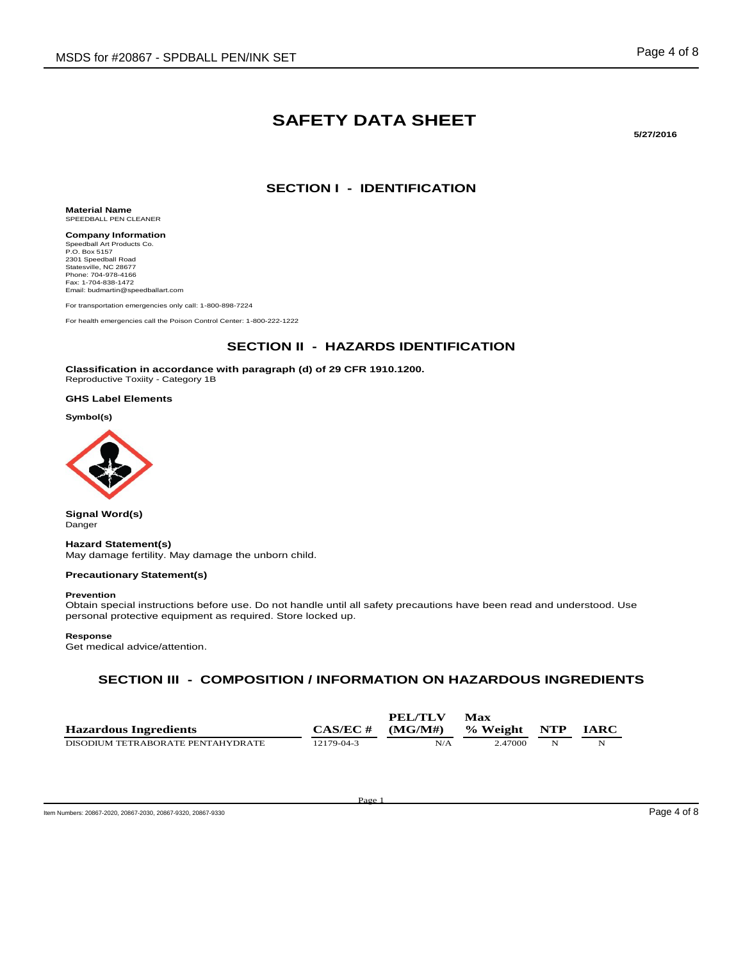# **SAFETY DATA SHEET**

**5/27/2016**

# **SECTION I - IDENTIFICATION**

**Material Name** SPEEDBALL PEN CLEANER

**Company Information** Speedball Art Products Co. P.O. Box 5157 2301 Speedball Road Statesville, NC 28677 Phone: 704-978-4166 Fax: 1-704-838-1472 Email: budmartin@speedballart.com

For transportation emergencies only call: 1-800-898-7224

For health emergencies call the Poison Control Center: 1-800-222-1222

### **SECTION II - HAZARDS IDENTIFICATION**

**Classification in accordance with paragraph (d) of 29 CFR 1910.1200.** Reproductive Toxiity - Category 1B

#### **GHS Label Elements**

**Symbol(s)**



**Signal Word(s)** Danger

#### **Hazard Statement(s)**

May damage fertility. May damage the unborn child.

#### **Precautionary Statement(s)**

#### **Prevention**

Obtain special instructions before use. Do not handle until all safety precautions have been read and understood. Use personal protective equipment as required. Store locked up.

#### **Response**

Get medical advice/attention.

# **SECTION III - COMPOSITION / INFORMATION ON HAZARDOUS INGREDIENTS**

|                                   |             | PEL/TLV | Max          |   |             |
|-----------------------------------|-------------|---------|--------------|---|-------------|
| <b>Hazardous Ingredients</b>      | $CAS/EC \#$ | (MG/M#) | % Weight NTP |   | <b>IARC</b> |
| DISODIUM TETRABORATE PENTAHYDRATE | 12179-04-3  | N/A     | 2.47000      | N |             |

Page 1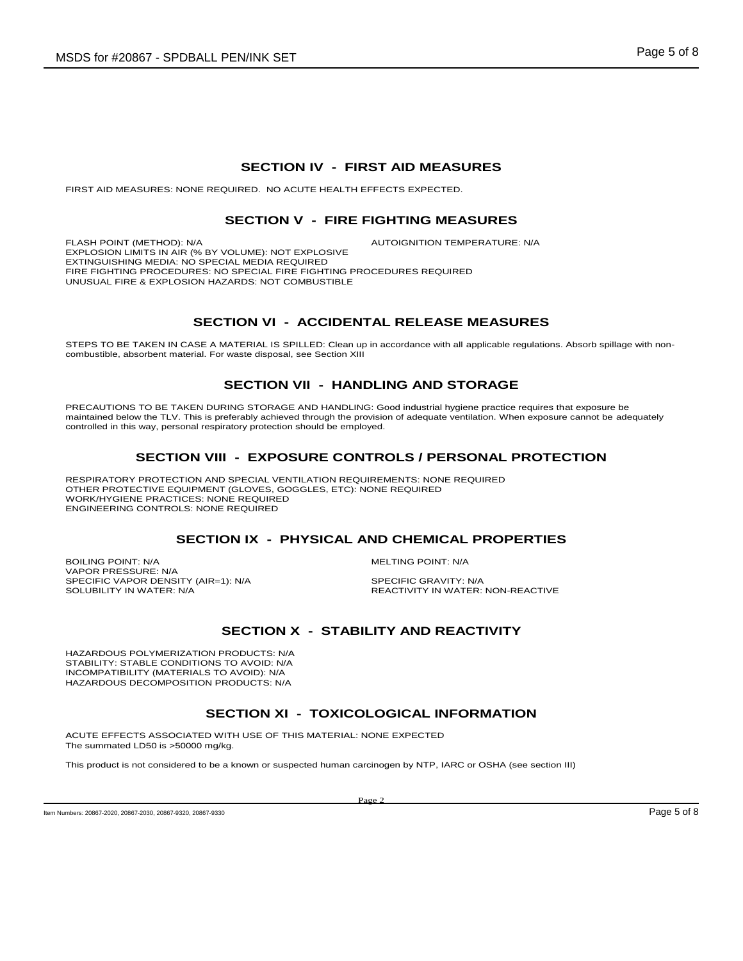### **SECTION IV - FIRST AID MEASURES**

FIRST AID MEASURES: NONE REQUIRED. NO ACUTE HEALTH EFFECTS EXPECTED.

### **SECTION V - FIRE FIGHTING MEASURES**

FLASH POINT (METHOD): N/A **AUTOIGNITION TEMPERATURE: N/A** EXPLOSION LIMITS IN AIR (% BY VOLUME): NOT EXPLOSIVE EXTINGUISHING MEDIA: NO SPECIAL MEDIA REQUIRED FIRE FIGHTING PROCEDURES: NO SPECIAL FIRE FIGHTING PROCEDURES REQUIRED UNUSUAL FIRE & EXPLOSION HAZARDS: NOT COMBUSTIBLE

# **SECTION VI - ACCIDENTAL RELEASE MEASURES**

STEPS TO BE TAKEN IN CASE A MATERIAL IS SPILLED: Clean up in accordance with all applicable regulations. Absorb spillage with noncombustible, absorbent material. For waste disposal, see Section XIII

### **SECTION VII - HANDLING AND STORAGE**

PRECAUTIONS TO BE TAKEN DURING STORAGE AND HANDLING: Good industrial hygiene practice requires that exposure be maintained below the TLV. This is preferably achieved through the provision of adequate ventilation. When exposure cannot be adequately controlled in this way, personal respiratory protection should be employed.

# **SECTION VIII - EXPOSURE CONTROLS / PERSONAL PROTECTION**

RESPIRATORY PROTECTION AND SPECIAL VENTILATION REQUIREMENTS: NONE REQUIRED OTHER PROTECTIVE EQUIPMENT (GLOVES, GOGGLES, ETC): NONE REQUIRED WORK/HYGIENE PRACTICES: NONE REQUIRED ENGINEERING CONTROLS: NONE REQUIRED

### **SECTION IX - PHYSICAL AND CHEMICAL PROPERTIES**

BOILING POINT: N/A GOILING POINT: N/A VAPOR PRESSURE: N/A SPECIFIC VAPOR DENSITY (AIR=1): N/A SPECIFIC GRAVITY: N/A SOLUBILITY IN WATER: SPECIFIC GRAVITY: N/A

REACTIVITY IN WATER: NON-REACTIVE

# **SECTION X - STABILITY AND REACTIVITY**

HAZARDOUS POLYMERIZATION PRODUCTS: N/A STABILITY: STABLE CONDITIONS TO AVOID: N/A INCOMPATIBILITY (MATERIALS TO AVOID): N/A HAZARDOUS DECOMPOSITION PRODUCTS: N/A

### **SECTION XI - TOXICOLOGICAL INFORMATION**

ACUTE EFFECTS ASSOCIATED WITH USE OF THIS MATERIAL: NONE EXPECTED The summated LD50 is >50000 mg/kg.

This product is not considered to be a known or suspected human carcinogen by NTP, IARC or OSHA (see section III)

Page 2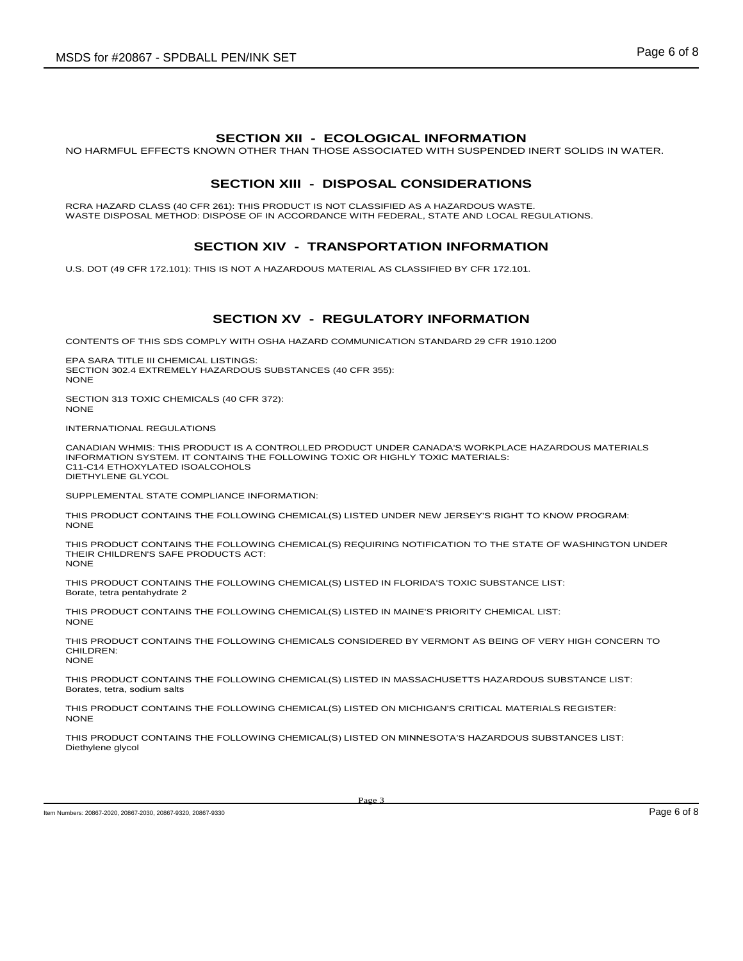### **SECTION XII - ECOLOGICAL INFORMATION**

NO HARMFUL EFFECTS KNOWN OTHER THAN THOSE ASSOCIATED WITH SUSPENDED INERT SOLIDS IN WATER.

### **SECTION XIII - DISPOSAL CONSIDERATIONS**

RCRA HAZARD CLASS (40 CFR 261): THIS PRODUCT IS NOT CLASSIFIED AS A HAZARDOUS WASTE. WASTE DISPOSAL METHOD: DISPOSE OF IN ACCORDANCE WITH FEDERAL, STATE AND LOCAL REGULATIONS.

# **SECTION XIV - TRANSPORTATION INFORMATION**

U.S. DOT (49 CFR 172.101): THIS IS NOT A HAZARDOUS MATERIAL AS CLASSIFIED BY CFR 172.101.

### **SECTION XV - REGULATORY INFORMATION**

CONTENTS OF THIS SDS COMPLY WITH OSHA HAZARD COMMUNICATION STANDARD 29 CFR 1910.1200

EPA SARA TITLE III CHEMICAL LISTINGS: SECTION 302.4 EXTREMELY HAZARDOUS SUBSTANCES (40 CFR 355): NONE

SECTION 313 TOXIC CHEMICALS (40 CFR 372): NONE

INTERNATIONAL REGULATIONS

CANADIAN WHMIS: THIS PRODUCT IS A CONTROLLED PRODUCT UNDER CANADA'S WORKPLACE HAZARDOUS MATERIALS INFORMATION SYSTEM. IT CONTAINS THE FOLLOWING TOXIC OR HIGHLY TOXIC MATERIALS: C11-C14 ETHOXYLATED ISOALCOHOLS DIETHYLENE GLYCOL

SUPPLEMENTAL STATE COMPLIANCE INFORMATION:

THIS PRODUCT CONTAINS THE FOLLOWING CHEMICAL(S) LISTED UNDER NEW JERSEY'S RIGHT TO KNOW PROGRAM: **NONE** 

THIS PRODUCT CONTAINS THE FOLLOWING CHEMICAL(S) REQUIRING NOTIFICATION TO THE STATE OF WASHINGTON UNDER THEIR CHILDREN'S SAFE PRODUCTS ACT: NONE

THIS PRODUCT CONTAINS THE FOLLOWING CHEMICAL(S) LISTED IN FLORIDA'S TOXIC SUBSTANCE LIST: Borate, tetra pentahydrate 2

THIS PRODUCT CONTAINS THE FOLLOWING CHEMICAL(S) LISTED IN MAINE'S PRIORITY CHEMICAL LIST: NONE

THIS PRODUCT CONTAINS THE FOLLOWING CHEMICALS CONSIDERED BY VERMONT AS BEING OF VERY HIGH CONCERN TO CHILDREN: NONE

THIS PRODUCT CONTAINS THE FOLLOWING CHEMICAL(S) LISTED IN MASSACHUSETTS HAZARDOUS SUBSTANCE LIST: Borates, tetra, sodium salts

THIS PRODUCT CONTAINS THE FOLLOWING CHEMICAL(S) LISTED ON MICHIGAN'S CRITICAL MATERIALS REGISTER: NONE

THIS PRODUCT CONTAINS THE FOLLOWING CHEMICAL(S) LISTED ON MINNESOTA'S HAZARDOUS SUBSTANCES LIST: Diethylene glycol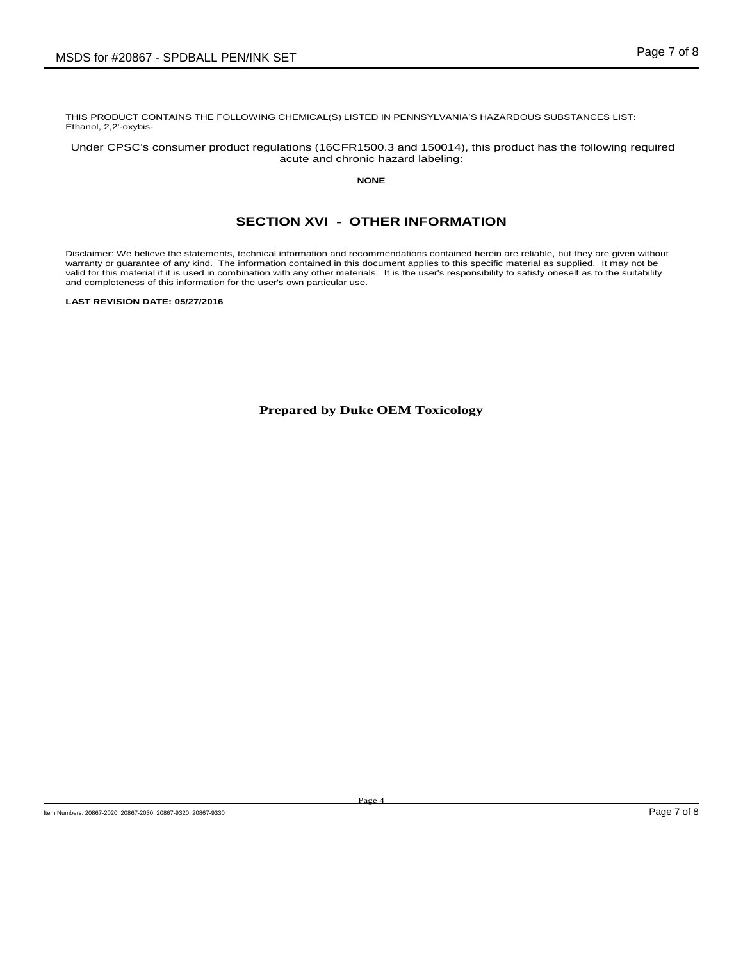THIS PRODUCT CONTAINS THE FOLLOWING CHEMICAL(S) LISTED IN PENNSYLVANIA'S HAZARDOUS SUBSTANCES LIST: Ethanol, 2,2'-oxybis-

Under CPSC's consumer product regulations (16CFR1500.3 and 150014), this product has the following required acute and chronic hazard labeling:

**NONE**

# **SECTION XVI - OTHER INFORMATION**

Disclaimer: We believe the statements, technical information and recommendations contained herein are reliable, but they are given without warranty or guarantee of any kind. The information contained in this document applies to this specific material as supplied. It may not be valid for this material if it is used in combination with any other materials. It is the user's responsibility to satisfy oneself as to the suitability and completeness of this information for the user's own particular use.

**LAST REVISION DATE: 05/27/2016**

**Prepared by Duke OEM Toxicology**